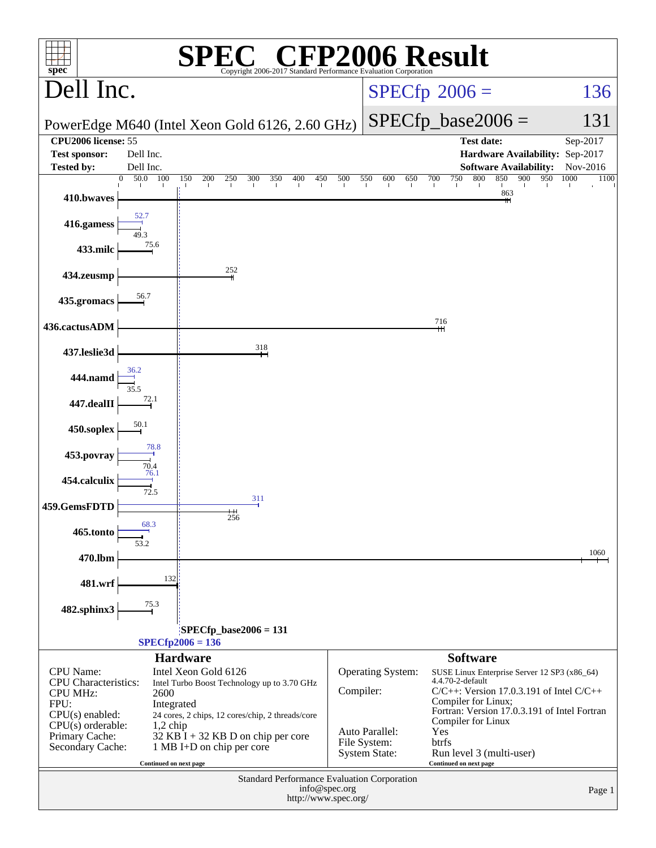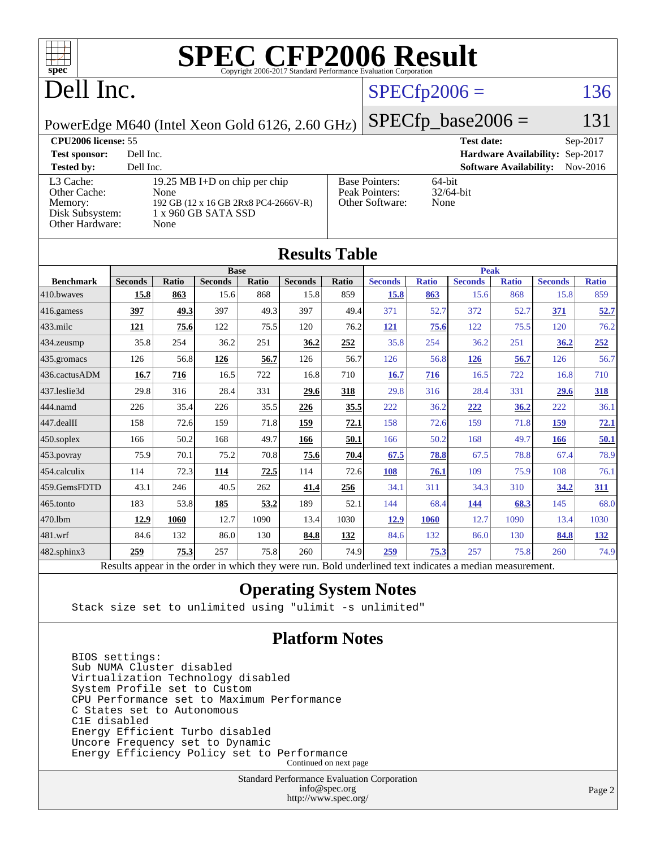

# Dell Inc.

### $SPECfp2006 = 136$  $SPECfp2006 = 136$

PowerEdge M640 (Intel Xeon Gold 6126, 2.60 GHz)

| <b>CPU2006 license: 55</b> |  |
|----------------------------|--|
|                            |  |

 $SPECTp\_base2006 = 131$ 

| <b>CPU2006 license: 55</b>           |                                                                               |                                                            | <b>Test date:</b><br>$Sep-2017$           |
|--------------------------------------|-------------------------------------------------------------------------------|------------------------------------------------------------|-------------------------------------------|
| <b>Test sponsor:</b>                 | Dell Inc.                                                                     |                                                            | Hardware Availability: Sep-2017           |
| <b>Tested by:</b>                    | Dell Inc.                                                                     |                                                            | <b>Software Availability:</b><br>Nov-2016 |
| L3 Cache:<br>Other Cache:<br>Memory: | 19.25 MB I+D on chip per chip<br>None<br>192 GB (12 x 16 GB 2Rx8 PC4-2666V-R) | <b>Base Pointers:</b><br>Peak Pointers:<br>Other Software: | $64$ -bit<br>$32/64$ -bit<br>None         |
| Disk Subsystem:<br>Other Hardware:   | 1 x 960 GB SATA SSD<br>None                                                   |                                                            |                                           |

**[Results Table](http://www.spec.org/auto/cpu2006/Docs/result-fields.html#ResultsTable)**

| Results Table     |                                                                                                          |       |                |       |                |            |                |              |                |              |                |              |
|-------------------|----------------------------------------------------------------------------------------------------------|-------|----------------|-------|----------------|------------|----------------|--------------|----------------|--------------|----------------|--------------|
|                   |                                                                                                          |       | <b>Base</b>    |       |                |            | <b>Peak</b>    |              |                |              |                |              |
| <b>Benchmark</b>  | <b>Seconds</b>                                                                                           | Ratio | <b>Seconds</b> | Ratio | <b>Seconds</b> | Ratio      | <b>Seconds</b> | <b>Ratio</b> | <b>Seconds</b> | <b>Ratio</b> | <b>Seconds</b> | <b>Ratio</b> |
| 410.bwayes        | 15.8                                                                                                     | 863   | 15.6           | 868   | 15.8           | 859        | 15.8           | 863          | 15.6           | 868          | 15.8           | 859          |
| 416.gamess        | 397                                                                                                      | 49.3  | 397            | 49.3  | 397            | 49.4       | 371            | 52.7         | 372            | 52.7         | 371            | 52.7         |
| 433.milc          | 121                                                                                                      | 75.6  | 122            | 75.5  | 120            | 76.2       | <u>121</u>     | 75.6         | 122            | 75.5         | 120            | 76.2         |
| 434.zeusmp        | 35.8                                                                                                     | 254   | 36.2           | 251   | 36.2           | 252        | 35.8           | 254          | 36.2           | 251          | <u>36.2</u>    | 252          |
| 435.gromacs       | 126                                                                                                      | 56.8  | 126            | 56.7  | 126            | 56.7       | 126            | 56.8         | 126            | 56.7         | 126            | 56.7         |
| 436.cactusADM     | 16.7                                                                                                     | 716   | 16.5           | 722   | 16.8           | 710        | <b>16.7</b>    | 716          | 16.5           | 722          | 16.8           | 710          |
| 437.leslie3d      | 29.8                                                                                                     | 316   | 28.4           | 331   | 29.6           | 318        | 29.8           | 316          | 28.4           | 331          | 29.6           | <u>318</u>   |
| 444.namd          | 226                                                                                                      | 35.4  | 226            | 35.5  | 226            | 35.5       | 222            | 36.2         | 222            | 36.2         | 222            | 36.1         |
| 447.dealII        | 158                                                                                                      | 72.6  | 159            | 71.8  | 159            | 72.1       | 158            | 72.6         | 159            | 71.8         | 159            | 72.1         |
| $450$ .soplex     | 166                                                                                                      | 50.2  | 168            | 49.7  | 166            | 50.1       | 166            | 50.2         | 168            | 49.7         | 166            | <u>50.1</u>  |
| 453.povray        | 75.9                                                                                                     | 70.1  | 75.2           | 70.8  | 75.6           | 70.4       | 67.5           | 78.8         | 67.5           | 78.8         | 67.4           | 78.9         |
| 454.calculix      | 114                                                                                                      | 72.3  | 114            | 72.5  | 114            | 72.6       | 108            | 76.1         | 109            | 75.9         | 108            | 76.1         |
| 459.GemsFDTD      | 43.1                                                                                                     | 246   | 40.5           | 262   | 41.4           | 256        | 34.1           | 311          | 34.3           | 310          | 34.2           | 311          |
| 465.tonto         | 183                                                                                                      | 53.8  | 185            | 53.2  | 189            | 52.1       | 144            | 68.4         | 144            | 68.3         | 145            | 68.0         |
| 470.1bm           | 12.9                                                                                                     | 1060  | 12.7           | 1090  | 13.4           | 1030       | 12.9           | 1060         | 12.7           | 1090         | 13.4           | 1030         |
| 481.wrf           | 84.6                                                                                                     | 132   | 86.0           | 130   | 84.8           | <u>132</u> | 84.6           | 132          | 86.0           | 130          | 84.8           | <u>132</u>   |
| $482$ .sphinx $3$ | 259                                                                                                      | 75.3  | 257            | 75.8  | 260            | 74.9       | 259            | 75.3         | 257            | 75.8         | 260            | 74.9         |
|                   | Results appear in the order in which they were run. Bold underlined text indicates a median measurement. |       |                |       |                |            |                |              |                |              |                |              |

#### **[Operating System Notes](http://www.spec.org/auto/cpu2006/Docs/result-fields.html#OperatingSystemNotes)**

Stack size set to unlimited using "ulimit -s unlimited"

#### **[Platform Notes](http://www.spec.org/auto/cpu2006/Docs/result-fields.html#PlatformNotes)**

 BIOS settings: Sub NUMA Cluster disabled Virtualization Technology disabled System Profile set to Custom CPU Performance set to Maximum Performance C States set to Autonomous C1E disabled Energy Efficient Turbo disabled Uncore Frequency set to Dynamic Energy Efficiency Policy set to Performance Continued on next page

> Standard Performance Evaluation Corporation [info@spec.org](mailto:info@spec.org) <http://www.spec.org/>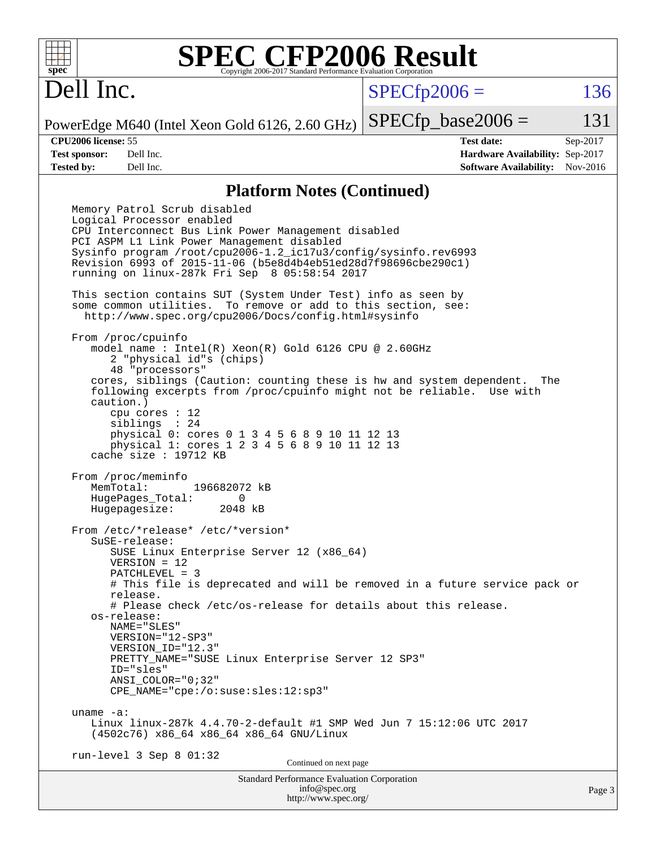

## Dell Inc.

 $SPECTp2006 = 136$ 

PowerEdge M640 (Intel Xeon Gold 6126, 2.60 GHz)  $SPECTp\_base2006 = 131$ 

**[CPU2006 license:](http://www.spec.org/auto/cpu2006/Docs/result-fields.html#CPU2006license)** 55 **[Test date:](http://www.spec.org/auto/cpu2006/Docs/result-fields.html#Testdate)** Sep-2017 **[Test sponsor:](http://www.spec.org/auto/cpu2006/Docs/result-fields.html#Testsponsor)** Dell Inc. **[Hardware Availability:](http://www.spec.org/auto/cpu2006/Docs/result-fields.html#HardwareAvailability)** Sep-2017 **[Tested by:](http://www.spec.org/auto/cpu2006/Docs/result-fields.html#Testedby)** Dell Inc. **[Software Availability:](http://www.spec.org/auto/cpu2006/Docs/result-fields.html#SoftwareAvailability)** Nov-2016

#### **[Platform Notes \(Continued\)](http://www.spec.org/auto/cpu2006/Docs/result-fields.html#PlatformNotes)**

Standard Performance Evaluation Corporation [info@spec.org](mailto:info@spec.org) Page 3 Memory Patrol Scrub disabled Logical Processor enabled CPU Interconnect Bus Link Power Management disabled PCI ASPM L1 Link Power Management disabled Sysinfo program /root/cpu2006-1.2\_ic17u3/config/sysinfo.rev6993 Revision 6993 of 2015-11-06 (b5e8d4b4eb51ed28d7f98696cbe290c1) running on linux-287k Fri Sep 8 05:58:54 2017 This section contains SUT (System Under Test) info as seen by some common utilities. To remove or add to this section, see: <http://www.spec.org/cpu2006/Docs/config.html#sysinfo> From /proc/cpuinfo model name : Intel(R) Xeon(R) Gold 6126 CPU @ 2.60GHz 2 "physical id"s (chips) 48 "processors" cores, siblings (Caution: counting these is hw and system dependent. The following excerpts from /proc/cpuinfo might not be reliable. Use with caution.) cpu cores : 12 siblings : 24 physical 0: cores 0 1 3 4 5 6 8 9 10 11 12 13 physical 1: cores 1 2 3 4 5 6 8 9 10 11 12 13 cache size : 19712 KB From /proc/meminfo MemTotal: 196682072 kB HugePages\_Total: 0<br>Hugepagesize: 2048 kB Hugepagesize: From /etc/\*release\* /etc/\*version\* SuSE-release: SUSE Linux Enterprise Server 12 (x86\_64) VERSION = 12 PATCHLEVEL = 3 # This file is deprecated and will be removed in a future service pack or release. # Please check /etc/os-release for details about this release. os-release: NAME="SLES" VERSION="12-SP3" VERSION\_ID="12.3" PRETTY\_NAME="SUSE Linux Enterprise Server 12 SP3" ID="sles" ANSI\_COLOR="0;32" CPE\_NAME="cpe:/o:suse:sles:12:sp3" uname -a: Linux linux-287k 4.4.70-2-default #1 SMP Wed Jun 7 15:12:06 UTC 2017 (4502c76) x86\_64 x86\_64 x86\_64 GNU/Linux run-level 3 Sep 8 01:32 Continued on next page

<http://www.spec.org/>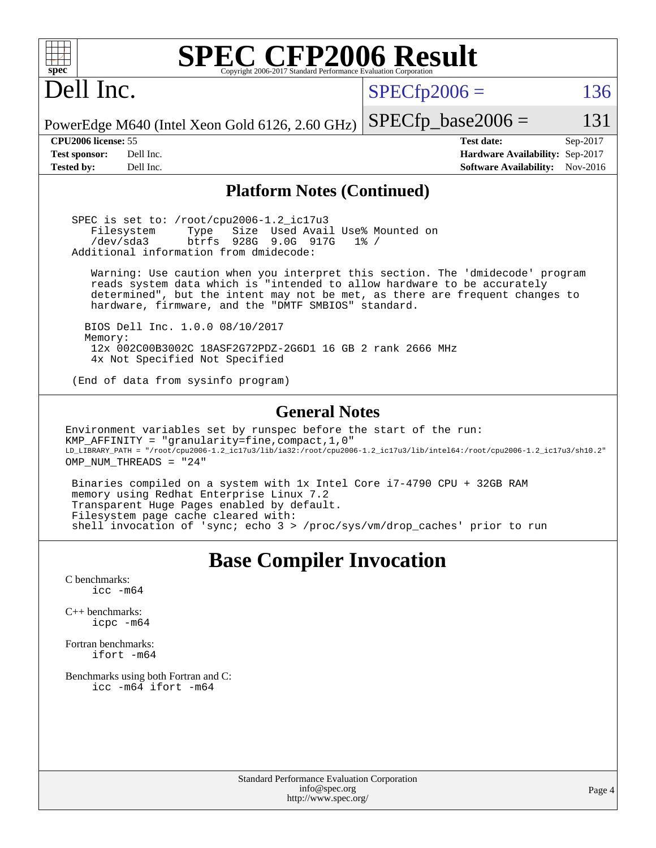| $spec^*$                                                                                                       | <b>SPEC CFP2006 Result</b><br>Copyright 2006-2017 Standard Performance Evaluation Corporation                                                                                                                                                                                                                                                                                                                                                                                                                                                                         |                |                                                                                       |                      |
|----------------------------------------------------------------------------------------------------------------|-----------------------------------------------------------------------------------------------------------------------------------------------------------------------------------------------------------------------------------------------------------------------------------------------------------------------------------------------------------------------------------------------------------------------------------------------------------------------------------------------------------------------------------------------------------------------|----------------|---------------------------------------------------------------------------------------|----------------------|
| Dell Inc.                                                                                                      |                                                                                                                                                                                                                                                                                                                                                                                                                                                                                                                                                                       | $SPECfp2006 =$ |                                                                                       | 136                  |
|                                                                                                                | PowerEdge M640 (Intel Xeon Gold 6126, 2.60 GHz)                                                                                                                                                                                                                                                                                                                                                                                                                                                                                                                       |                | $SPECfp\_base2006 =$                                                                  | 131                  |
| CPU <sub>2006</sub> license: 55<br><b>Test sponsor:</b><br>Dell Inc.<br><b>Tested by:</b><br>Dell Inc.         |                                                                                                                                                                                                                                                                                                                                                                                                                                                                                                                                                                       |                | <b>Test date:</b><br>Hardware Availability: Sep-2017<br><b>Software Availability:</b> | Sep-2017<br>Nov-2016 |
|                                                                                                                | <b>Platform Notes (Continued)</b>                                                                                                                                                                                                                                                                                                                                                                                                                                                                                                                                     |                |                                                                                       |                      |
| Filesystem<br>/dev/sda3                                                                                        | SPEC is set to: /root/cpu2006-1.2_ic17u3<br>Size Used Avail Use% Mounted on<br>Type<br>928G 9.0G 917G<br>btrfs<br>Additional information from dmidecode:                                                                                                                                                                                                                                                                                                                                                                                                              | $1\%$ /        |                                                                                       |                      |
|                                                                                                                | Warning: Use caution when you interpret this section. The 'dmidecode' program<br>reads system data which is "intended to allow hardware to be accurately<br>determined", but the intent may not be met, as there are frequent changes to<br>hardware, firmware, and the "DMTF SMBIOS" standard.                                                                                                                                                                                                                                                                       |                |                                                                                       |                      |
| Memory:                                                                                                        | BIOS Dell Inc. 1.0.0 08/10/2017<br>12x 002C00B3002C 18ASF2G72PDZ-2G6D1 16 GB 2 rank 2666 MHz                                                                                                                                                                                                                                                                                                                                                                                                                                                                          |                |                                                                                       |                      |
|                                                                                                                | 4x Not Specified Not Specified<br>(End of data from sysinfo program)                                                                                                                                                                                                                                                                                                                                                                                                                                                                                                  |                |                                                                                       |                      |
| OMP_NUM_THREADS = "24"                                                                                         | <b>General Notes</b><br>Environment variables set by runspec before the start of the run:<br>KMP_AFFINITY = "granularity=fine, compact, 1, 0"<br>LD_LIBRARY_PATH = "/root/cpu2006-1.2_ic17u3/lib/ia32:/root/cpu2006-1.2_ic17u3/lib/intel64:/root/cpu2006-1.2_ic17u3/sh10.2"<br>Binaries compiled on a system with 1x Intel Core i7-4790 CPU + 32GB RAM<br>memory using Redhat Enterprise Linux 7.2<br>Transparent Huge Pages enabled by default.<br>Filesystem page cache cleared with:<br>shell invocation of 'sync; echo 3 > /proc/sys/vm/drop_caches' prior to run |                |                                                                                       |                      |
|                                                                                                                | <b>Base Compiler Invocation</b>                                                                                                                                                                                                                                                                                                                                                                                                                                                                                                                                       |                |                                                                                       |                      |
| C benchmarks:<br>$\texttt{icc -m64}$<br>$C_{++}$ benchmarks:<br>icpc -m64<br>Fortran benchmarks:<br>ifort -m64 | Benchmarks using both Fortran and C:<br>$\text{icc -m64}$ ifort -m64                                                                                                                                                                                                                                                                                                                                                                                                                                                                                                  |                |                                                                                       |                      |
|                                                                                                                | <b>Standard Performance Evaluation Corporation</b><br>info@spec.org<br>http://www.spec.org/                                                                                                                                                                                                                                                                                                                                                                                                                                                                           |                |                                                                                       | Page 4               |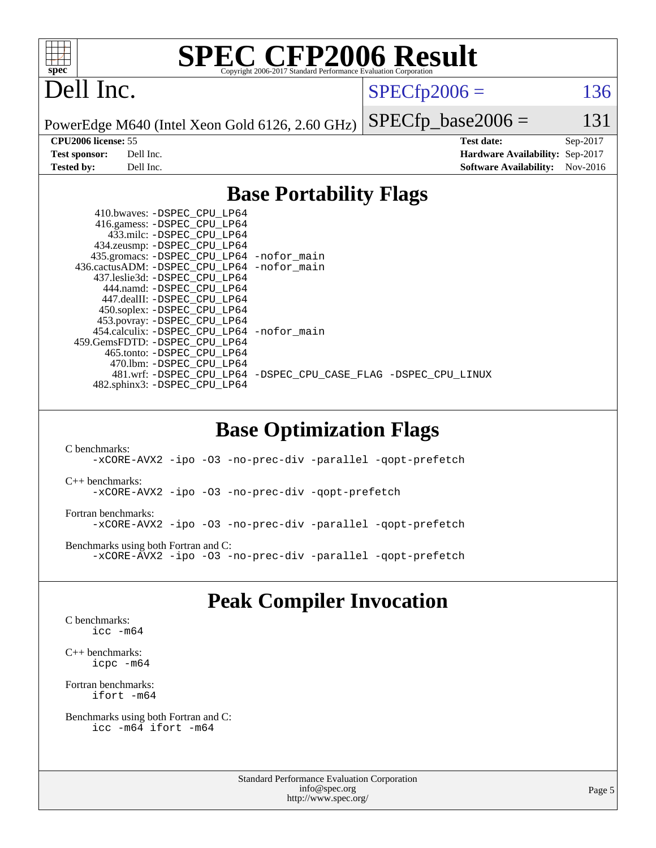

## Dell Inc.

 $SPECTp2006 = 136$ 

PowerEdge M640 (Intel Xeon Gold 6126, 2.60 GHz)

 $SPECTp\_base2006 = 131$ **[CPU2006 license:](http://www.spec.org/auto/cpu2006/Docs/result-fields.html#CPU2006license)** 55 **[Test date:](http://www.spec.org/auto/cpu2006/Docs/result-fields.html#Testdate)** Sep-2017 **[Test sponsor:](http://www.spec.org/auto/cpu2006/Docs/result-fields.html#Testsponsor)** Dell Inc. **[Hardware Availability:](http://www.spec.org/auto/cpu2006/Docs/result-fields.html#HardwareAvailability)** Sep-2017 **[Tested by:](http://www.spec.org/auto/cpu2006/Docs/result-fields.html#Testedby)** Dell Inc. **[Software Availability:](http://www.spec.org/auto/cpu2006/Docs/result-fields.html#SoftwareAvailability)** Nov-2016

### **[Base Portability Flags](http://www.spec.org/auto/cpu2006/Docs/result-fields.html#BasePortabilityFlags)**

| 410.bwaves: -DSPEC CPU LP64                 |                                                                |
|---------------------------------------------|----------------------------------------------------------------|
| 416.gamess: -DSPEC_CPU_LP64                 |                                                                |
| 433.milc: -DSPEC CPU LP64                   |                                                                |
| 434.zeusmp: -DSPEC_CPU_LP64                 |                                                                |
| 435.gromacs: -DSPEC_CPU_LP64 -nofor_main    |                                                                |
| 436.cactusADM: -DSPEC CPU LP64 -nofor main  |                                                                |
| 437.leslie3d: -DSPEC CPU LP64               |                                                                |
| 444.namd: -DSPEC CPU LP64                   |                                                                |
| 447.dealII: -DSPEC_CPU LP64                 |                                                                |
| 450.soplex: -DSPEC_CPU_LP64                 |                                                                |
| 453.povray: -DSPEC_CPU_LP64                 |                                                                |
| 454.calculix: - DSPEC CPU LP64 - nofor main |                                                                |
| 459. GemsFDTD: - DSPEC CPU LP64             |                                                                |
| 465.tonto: - DSPEC CPU LP64                 |                                                                |
| 470.1bm: - DSPEC CPU LP64                   |                                                                |
|                                             | 481.wrf: -DSPEC CPU LP64 -DSPEC CPU CASE FLAG -DSPEC CPU LINUX |
| 482.sphinx3: -DSPEC_CPU_LP64                |                                                                |

### **[Base Optimization Flags](http://www.spec.org/auto/cpu2006/Docs/result-fields.html#BaseOptimizationFlags)**

[C benchmarks](http://www.spec.org/auto/cpu2006/Docs/result-fields.html#Cbenchmarks): [-xCORE-AVX2](http://www.spec.org/cpu2006/results/res2017q4/cpu2006-20170918-49872.flags.html#user_CCbase_f-xCORE-AVX2) [-ipo](http://www.spec.org/cpu2006/results/res2017q4/cpu2006-20170918-49872.flags.html#user_CCbase_f-ipo) [-O3](http://www.spec.org/cpu2006/results/res2017q4/cpu2006-20170918-49872.flags.html#user_CCbase_f-O3) [-no-prec-div](http://www.spec.org/cpu2006/results/res2017q4/cpu2006-20170918-49872.flags.html#user_CCbase_f-no-prec-div) [-parallel](http://www.spec.org/cpu2006/results/res2017q4/cpu2006-20170918-49872.flags.html#user_CCbase_f-parallel) [-qopt-prefetch](http://www.spec.org/cpu2006/results/res2017q4/cpu2006-20170918-49872.flags.html#user_CCbase_f-qopt-prefetch) [C++ benchmarks:](http://www.spec.org/auto/cpu2006/Docs/result-fields.html#CXXbenchmarks) [-xCORE-AVX2](http://www.spec.org/cpu2006/results/res2017q4/cpu2006-20170918-49872.flags.html#user_CXXbase_f-xCORE-AVX2) [-ipo](http://www.spec.org/cpu2006/results/res2017q4/cpu2006-20170918-49872.flags.html#user_CXXbase_f-ipo) [-O3](http://www.spec.org/cpu2006/results/res2017q4/cpu2006-20170918-49872.flags.html#user_CXXbase_f-O3) [-no-prec-div](http://www.spec.org/cpu2006/results/res2017q4/cpu2006-20170918-49872.flags.html#user_CXXbase_f-no-prec-div) [-qopt-prefetch](http://www.spec.org/cpu2006/results/res2017q4/cpu2006-20170918-49872.flags.html#user_CXXbase_f-qopt-prefetch) [Fortran benchmarks](http://www.spec.org/auto/cpu2006/Docs/result-fields.html#Fortranbenchmarks): [-xCORE-AVX2](http://www.spec.org/cpu2006/results/res2017q4/cpu2006-20170918-49872.flags.html#user_FCbase_f-xCORE-AVX2) [-ipo](http://www.spec.org/cpu2006/results/res2017q4/cpu2006-20170918-49872.flags.html#user_FCbase_f-ipo) [-O3](http://www.spec.org/cpu2006/results/res2017q4/cpu2006-20170918-49872.flags.html#user_FCbase_f-O3) [-no-prec-div](http://www.spec.org/cpu2006/results/res2017q4/cpu2006-20170918-49872.flags.html#user_FCbase_f-no-prec-div) [-parallel](http://www.spec.org/cpu2006/results/res2017q4/cpu2006-20170918-49872.flags.html#user_FCbase_f-parallel) [-qopt-prefetch](http://www.spec.org/cpu2006/results/res2017q4/cpu2006-20170918-49872.flags.html#user_FCbase_f-qopt-prefetch) [Benchmarks using both Fortran and C](http://www.spec.org/auto/cpu2006/Docs/result-fields.html#BenchmarksusingbothFortranandC): [-xCORE-AVX2](http://www.spec.org/cpu2006/results/res2017q4/cpu2006-20170918-49872.flags.html#user_CC_FCbase_f-xCORE-AVX2) [-ipo](http://www.spec.org/cpu2006/results/res2017q4/cpu2006-20170918-49872.flags.html#user_CC_FCbase_f-ipo) [-O3](http://www.spec.org/cpu2006/results/res2017q4/cpu2006-20170918-49872.flags.html#user_CC_FCbase_f-O3) [-no-prec-div](http://www.spec.org/cpu2006/results/res2017q4/cpu2006-20170918-49872.flags.html#user_CC_FCbase_f-no-prec-div) [-parallel](http://www.spec.org/cpu2006/results/res2017q4/cpu2006-20170918-49872.flags.html#user_CC_FCbase_f-parallel) [-qopt-prefetch](http://www.spec.org/cpu2006/results/res2017q4/cpu2006-20170918-49872.flags.html#user_CC_FCbase_f-qopt-prefetch)

### **[Peak Compiler Invocation](http://www.spec.org/auto/cpu2006/Docs/result-fields.html#PeakCompilerInvocation)**

[C benchmarks](http://www.spec.org/auto/cpu2006/Docs/result-fields.html#Cbenchmarks): [icc -m64](http://www.spec.org/cpu2006/results/res2017q4/cpu2006-20170918-49872.flags.html#user_CCpeak_intel_icc_64bit_bda6cc9af1fdbb0edc3795bac97ada53)

[C++ benchmarks:](http://www.spec.org/auto/cpu2006/Docs/result-fields.html#CXXbenchmarks) [icpc -m64](http://www.spec.org/cpu2006/results/res2017q4/cpu2006-20170918-49872.flags.html#user_CXXpeak_intel_icpc_64bit_fc66a5337ce925472a5c54ad6a0de310)

[Fortran benchmarks](http://www.spec.org/auto/cpu2006/Docs/result-fields.html#Fortranbenchmarks): [ifort -m64](http://www.spec.org/cpu2006/results/res2017q4/cpu2006-20170918-49872.flags.html#user_FCpeak_intel_ifort_64bit_ee9d0fb25645d0210d97eb0527dcc06e)

[Benchmarks using both Fortran and C](http://www.spec.org/auto/cpu2006/Docs/result-fields.html#BenchmarksusingbothFortranandC): [icc -m64](http://www.spec.org/cpu2006/results/res2017q4/cpu2006-20170918-49872.flags.html#user_CC_FCpeak_intel_icc_64bit_bda6cc9af1fdbb0edc3795bac97ada53) [ifort -m64](http://www.spec.org/cpu2006/results/res2017q4/cpu2006-20170918-49872.flags.html#user_CC_FCpeak_intel_ifort_64bit_ee9d0fb25645d0210d97eb0527dcc06e)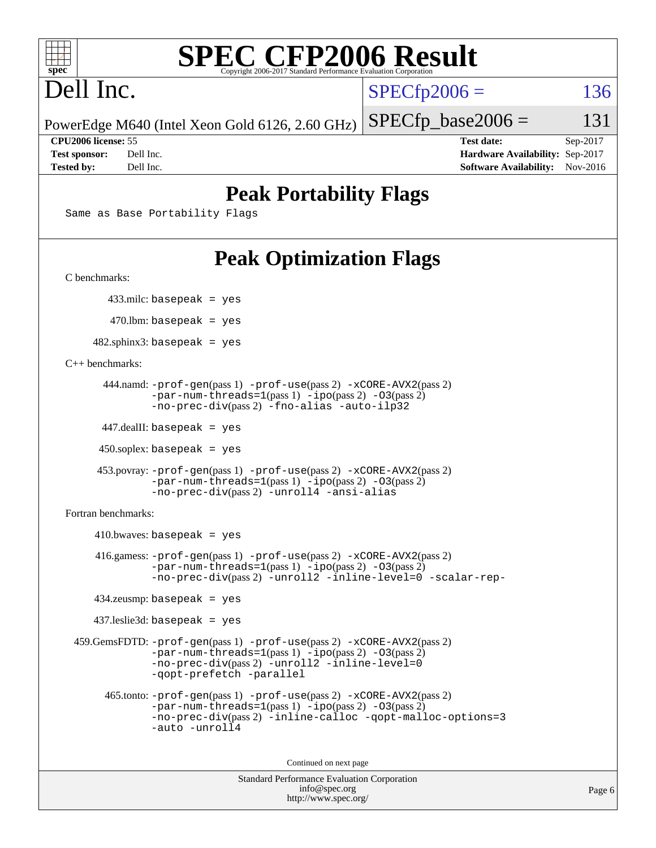

# Dell Inc.

 $SPECTp2006 = 136$ 

 $SPECTp\_base2006 = 131$ 

PowerEdge M640 (Intel Xeon Gold 6126, 2.60 GHz)

**[CPU2006 license:](http://www.spec.org/auto/cpu2006/Docs/result-fields.html#CPU2006license)** 55 **[Test date:](http://www.spec.org/auto/cpu2006/Docs/result-fields.html#Testdate)** Sep-2017 **[Test sponsor:](http://www.spec.org/auto/cpu2006/Docs/result-fields.html#Testsponsor)** Dell Inc. **[Hardware Availability:](http://www.spec.org/auto/cpu2006/Docs/result-fields.html#HardwareAvailability)** Sep-2017 **[Tested by:](http://www.spec.org/auto/cpu2006/Docs/result-fields.html#Testedby)** Dell Inc. **[Software Availability:](http://www.spec.org/auto/cpu2006/Docs/result-fields.html#SoftwareAvailability)** Nov-2016

## **[Peak Portability Flags](http://www.spec.org/auto/cpu2006/Docs/result-fields.html#PeakPortabilityFlags)**

Same as Base Portability Flags

## **[Peak Optimization Flags](http://www.spec.org/auto/cpu2006/Docs/result-fields.html#PeakOptimizationFlags)**

[C benchmarks](http://www.spec.org/auto/cpu2006/Docs/result-fields.html#Cbenchmarks):

433.milc: basepeak = yes

470.lbm: basepeak = yes

 $482$ .sphinx3: basepeak = yes

[C++ benchmarks:](http://www.spec.org/auto/cpu2006/Docs/result-fields.html#CXXbenchmarks)

```
 444.namd: -prof-gen(pass 1) -prof-use(pass 2) -xCORE-AVX2(pass 2)
      -par-num-threads=1-ipo-O3(pass 2)-no-prec-div(pass 2) -fno-alias -auto-ilp32
```
447.dealII: basepeak = yes

 $450$ .soplex: basepeak = yes

```
 453.povray: -prof-gen(pass 1) -prof-use(pass 2) -xCORE-AVX2(pass 2)
        -par-num-threads=1-ipo-O3(pass 2)-no-prec-div(pass 2) -unroll4 -ansi-alias
```
[Fortran benchmarks](http://www.spec.org/auto/cpu2006/Docs/result-fields.html#Fortranbenchmarks):

```
410.bwaves: basepeak = yes 416.gamess: -prof-gen(pass 1) -prof-use(pass 2) -xCORE-AVX2(pass 2)
            -par-num-threads=1-ipo-O3(pass 2)-no-prec-div(pass 2) -unroll2 -inline-level=0 -scalar-rep-
   434.zeusmp: basepeak = yes
   437.leslie3d: basepeak = yes
459.GemsFDTD: -prof-gen(pass 1) -prof-use(pass 2) -xCORE-AVX2(pass 2)
            -par-num-threads=1(pass 1) -ipo(pass 2) -O3(pass 2)
            -no-prec-div(pass 2) -unroll2 -inline-level=0
            -qopt-prefetch -parallel
     465.tonto: -prof-gen(pass 1) -prof-use(pass 2) -xCORE-AVX2(pass 2)
            -par-num-threads=1(pass 1) -ipo(pass 2) -O3(pass 2)
            -no-prec-div-inline-calloc-qopt-malloc-options=3
            -auto -unroll4
```
Continued on next page

```
Standard Performance Evaluation Corporation
            info@spec.org
          http://www.spec.org/
```